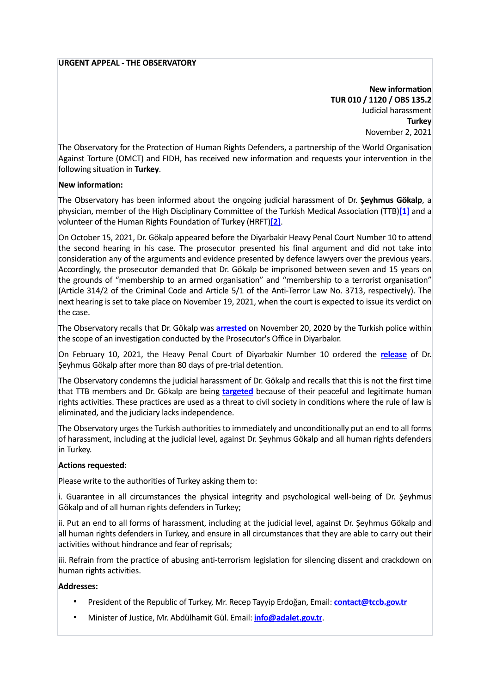## **URGENT APPEAL - THE OBSERVATORY**

**New information TUR 010 / 1120 / OBS 135.2** Judicial harassment **Turkey** November 2, 2021

The Observatory for the Protection of Human Rights Defenders, a partnership of the World Organisation Against Torture (OMCT) and FIDH, has received new information and requests your intervention in the following situation in **Turkey**.

## **New information:**

The Observatory has been informed about the ongoing judicial harassment of Dr. **Şeyhmus Gökalp**, a physician, member of the High Disciplinary Committee of the Turkish Medical Association (TTB)**[\[1\]](https://www.omct.org/en/resources/urgent-interventions/turkey-ongoing-judicial-harassment-of-dr-%25C5%259Feyhmus-g%25C3%25B6kalp#_ftn1)** and a volunteer of the Human Rights Foundation of Turkey (HRFT)**[\[2\]](https://www.omct.org/en/resources/urgent-interventions/turkey-ongoing-judicial-harassment-of-dr-%25C5%259Feyhmus-g%25C3%25B6kalp#_ftn2)**.

On October 15, 2021, Dr. Gökalp appeared before the Diyarbakir Heavy Penal Court Number 10 to attend the second hearing in his case. The prosecutor presented his final argument and did not take into consideration any of the arguments and evidence presented by defence lawyers over the previous years. Accordingly, the prosecutor demanded that Dr. Gökalp be imprisoned between seven and 15 years on the grounds of "membership to an armed organisation" and "membership to a terrorist organisation" (Article 314/2 of the Criminal Code and Article 5/1 of the Anti-Terror Law No. 3713, respectively). The next hearing is set to take place on November 19, 2021, when the court is expected to issue its verdict on the case.

The Observatory recalls that Dr. Gökalp was **[arrested](https://www.omct.org/en/resources/urgent-interventions/arbitrary-detention-and-judicial-harassment-of-dr-seyhmus-g%25C3%25B6kalp)** on November 20, 2020 by the Turkish police within the scope of an investigation conducted by the Prosecutor's Office in Diyarbakır.

On February 10, 2021, the Heavy Penal Court of Diyarbakir Number 10 ordered the **[release](https://www.omct.org/en/resources/urgent-interventions/turkey-release-and-ongoing-judicial-harassment-of-dr-%25C5%259Feyhmus-g%25C3%25B6kalp)** of Dr. Şeyhmus Gökalp after more than 80 days of pre-trial detention.

The Observatory condemns the judicial harassment of Dr. Gökalp and recalls that this is not the first time that TTB members and Dr. Gökalp are being **[targeted](https://www.omct.org/en/resources/urgent-interventions/arbitrary-detention-and-judicial-harassment-of-11-members-of-the-central-council-of-the-turkish-medical-association-ttb)** because of their peaceful and legitimate human rights activities. These practices are used as a threat to civil society in conditions where the rule of law is eliminated, and the judiciary lacks independence.

The Observatory urges the Turkish authorities to immediately and unconditionally put an end to all forms of harassment, including at the judicial level, against Dr. Şeyhmus Gökalp and all human rights defenders in Turkey.

## **Actions requested:**

Please write to the authorities of Turkey asking them to:

i. Guarantee in all circumstances the physical integrity and psychological well-being of Dr. Şeyhmus Gökalp and of all human rights defenders in Turkey;

ii. Put an end to all forms of harassment, including at the judicial level, against Dr. Şeyhmus Gökalp and all human rights defenders in Turkey, and ensure in all circumstances that they are able to carry out their activities without hindrance and fear of reprisals;

iii. Refrain from the practice of abusing anti-terrorism legislation for silencing dissent and crackdown on human rights activities.

## **Addresses:**

- President of the Republic of Turkey, Mr. Recep Tayyip Erdoğan, Email: **[contact@tccb.gov.tr](mailto:contact@tccb.gov.tr)**
- Minister of Justice, Mr. Abdülhamit Gül. Email: **[info@adalet.gov.tr](mailto:info@adalet.gov.tr)**.